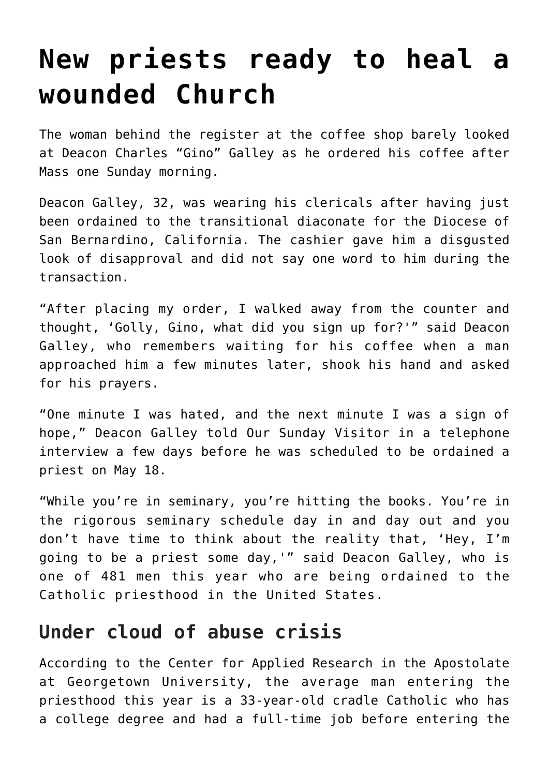## **[New priests ready to heal a](https://www.osvnews.com/2019/05/20/new-priests-ready-to-heal-a-wounded-church/) [wounded Church](https://www.osvnews.com/2019/05/20/new-priests-ready-to-heal-a-wounded-church/)**

The woman behind the register at the coffee shop barely looked at Deacon Charles "Gino" Galley as he ordered his coffee after Mass one Sunday morning.

Deacon Galley, 32, was wearing his clericals after having just been ordained to the transitional diaconate for the Diocese of San Bernardino, California. The cashier gave him a disgusted look of disapproval and did not say one word to him during the transaction.

"After placing my order, I walked away from the counter and thought, 'Golly, Gino, what did you sign up for?'" said Deacon Galley, who remembers waiting for his coffee when a man approached him a few minutes later, shook his hand and asked for his prayers.

"One minute I was hated, and the next minute I was a sign of hope," Deacon Galley told Our Sunday Visitor in a telephone interview a few days before he was scheduled to be ordained a priest on May 18.

"While you're in seminary, you're hitting the books. You're in the rigorous seminary schedule day in and day out and you don't have time to think about the reality that, 'Hey, I'm going to be a priest some day,'" said Deacon Galley, who is one of 481 men this year who are being ordained to the Catholic priesthood in the United States.

## **Under cloud of abuse crisis**

According to the Center for Applied Research in the Apostolate at Georgetown University, the average man entering the priesthood this year is a 33-year-old cradle Catholic who has a college degree and had a full-time job before entering the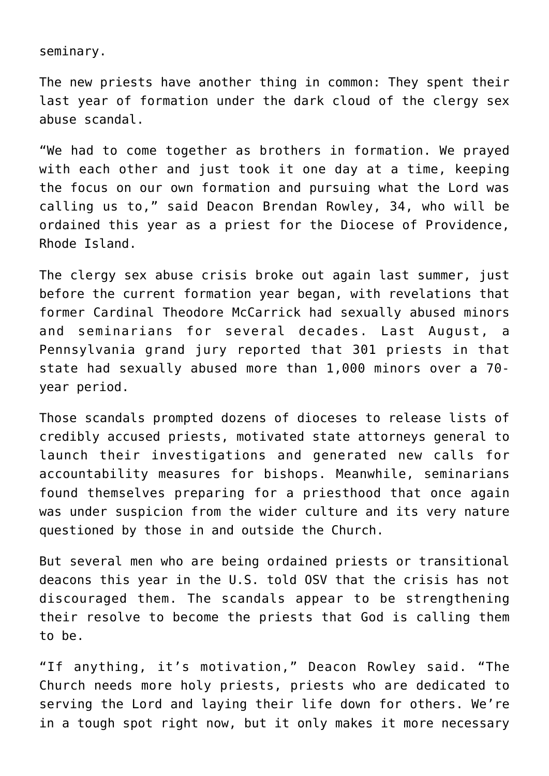seminary.

The new priests have another thing in common: They spent their last year of formation under the dark cloud of the clergy sex abuse scandal.

"We had to come together as brothers in formation. We prayed with each other and just took it one day at a time, keeping the focus on our own formation and pursuing what the Lord was calling us to," said Deacon Brendan Rowley, 34, who will be ordained this year as a priest for the Diocese of Providence, Rhode Island.

The clergy sex abuse crisis broke out again last summer, just before the current formation year began, with revelations that former Cardinal Theodore McCarrick had sexually abused minors and seminarians for several decades. Last August, a Pennsylvania grand jury reported that 301 priests in that state had sexually abused more than 1,000 minors over a 70 year period.

Those scandals prompted dozens of dioceses to release lists of credibly accused priests, motivated state attorneys general to launch their investigations and generated new calls for accountability measures for bishops. Meanwhile, seminarians found themselves preparing for a priesthood that once again was under suspicion from the wider culture and its very nature questioned by those in and outside the Church.

But several men who are being ordained priests or transitional deacons this year in the U.S. told OSV that the crisis has not discouraged them. The scandals appear to be strengthening their resolve to become the priests that God is calling them to be.

"If anything, it's motivation," Deacon Rowley said. "The Church needs more holy priests, priests who are dedicated to serving the Lord and laying their life down for others. We're in a tough spot right now, but it only makes it more necessary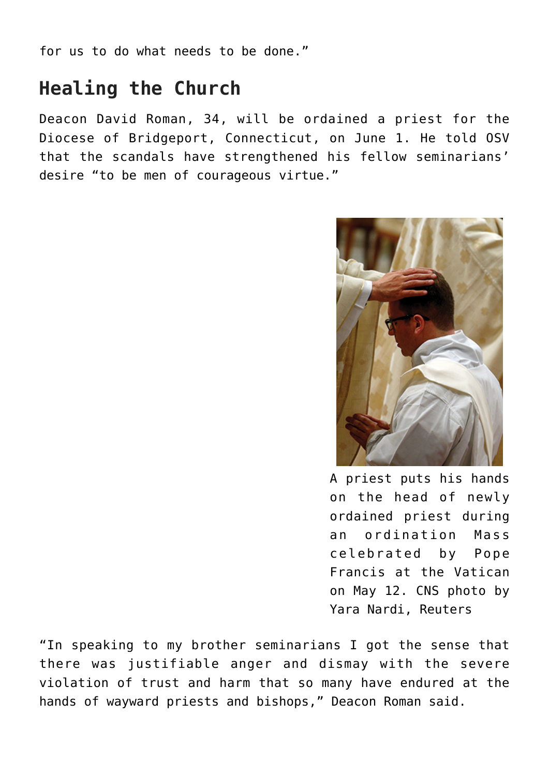for us to do what needs to be done."

## **Healing the Church**

Deacon David Roman, 34, will be ordained a priest for the Diocese of Bridgeport, Connecticut, on June 1. He told OSV that the scandals have strengthened his fellow seminarians' desire "to be men of courageous virtue."



A priest puts his hands on the head of newly ordained priest during an ordination Mass celebrated by Pope Francis at the Vatican on May 12. CNS photo by Yara Nardi, Reuters

"In speaking to my brother seminarians I got the sense that there was justifiable anger and dismay with the severe violation of trust and harm that so many have endured at the hands of wayward priests and bishops," Deacon Roman said.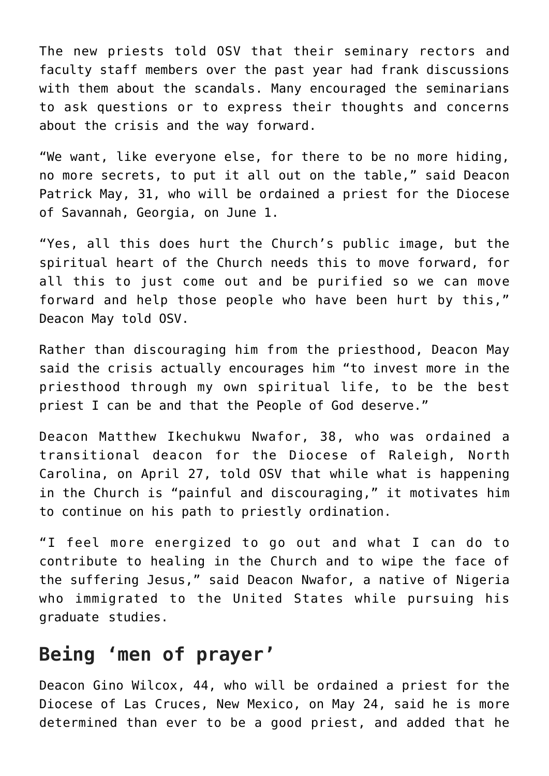The new priests told OSV that their seminary rectors and faculty staff members over the past year had frank discussions with them about the scandals. Many encouraged the seminarians to ask questions or to express their thoughts and concerns about the crisis and the way forward.

"We want, like everyone else, for there to be no more hiding, no more secrets, to put it all out on the table," said Deacon Patrick May, 31, who will be ordained a priest for the Diocese of Savannah, Georgia, on June 1.

"Yes, all this does hurt the Church's public image, but the spiritual heart of the Church needs this to move forward, for all this to just come out and be purified so we can move forward and help those people who have been hurt by this," Deacon May told OSV.

Rather than discouraging him from the priesthood, Deacon May said the crisis actually encourages him "to invest more in the priesthood through my own spiritual life, to be the best priest I can be and that the People of God deserve."

Deacon Matthew Ikechukwu Nwafor, 38, who was ordained a transitional deacon for the Diocese of Raleigh, North Carolina, on April 27, told OSV that while what is happening in the Church is "painful and discouraging," it motivates him to continue on his path to priestly ordination.

"I feel more energized to go out and what I can do to contribute to healing in the Church and to wipe the face of the suffering Jesus," said Deacon Nwafor, a native of Nigeria who immigrated to the United States while pursuing his graduate studies.

## **Being 'men of prayer'**

Deacon Gino Wilcox, 44, who will be ordained a priest for the Diocese of Las Cruces, New Mexico, on May 24, said he is more determined than ever to be a good priest, and added that he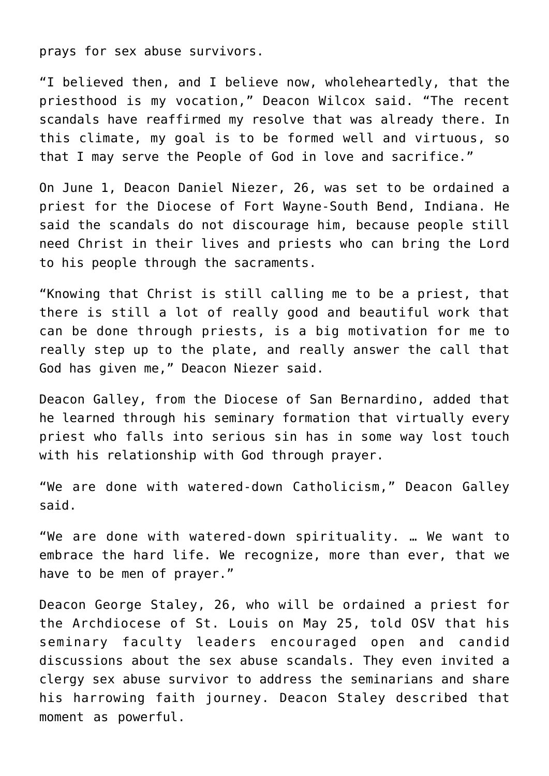prays for sex abuse survivors.

"I believed then, and I believe now, wholeheartedly, that the priesthood is my vocation," Deacon Wilcox said. "The recent scandals have reaffirmed my resolve that was already there. In this climate, my goal is to be formed well and virtuous, so that I may serve the People of God in love and sacrifice."

On June 1, Deacon Daniel Niezer, 26, was set to be ordained a priest for the Diocese of Fort Wayne-South Bend, Indiana. He said the scandals do not discourage him, because people still need Christ in their lives and priests who can bring the Lord to his people through the sacraments.

"Knowing that Christ is still calling me to be a priest, that there is still a lot of really good and beautiful work that can be done through priests, is a big motivation for me to really step up to the plate, and really answer the call that God has given me," Deacon Niezer said.

Deacon Galley, from the Diocese of San Bernardino, added that he learned through his seminary formation that virtually every priest who falls into serious sin has in some way lost touch with his relationship with God through prayer.

"We are done with watered-down Catholicism," Deacon Galley said.

"We are done with watered-down spirituality. … We want to embrace the hard life. We recognize, more than ever, that we have to be men of prayer."

Deacon George Staley, 26, who will be ordained a priest for the Archdiocese of St. Louis on May 25, told OSV that his seminary faculty leaders encouraged open and candid discussions about the sex abuse scandals. They even invited a clergy sex abuse survivor to address the seminarians and share his harrowing faith journey. Deacon Staley described that moment as powerful.